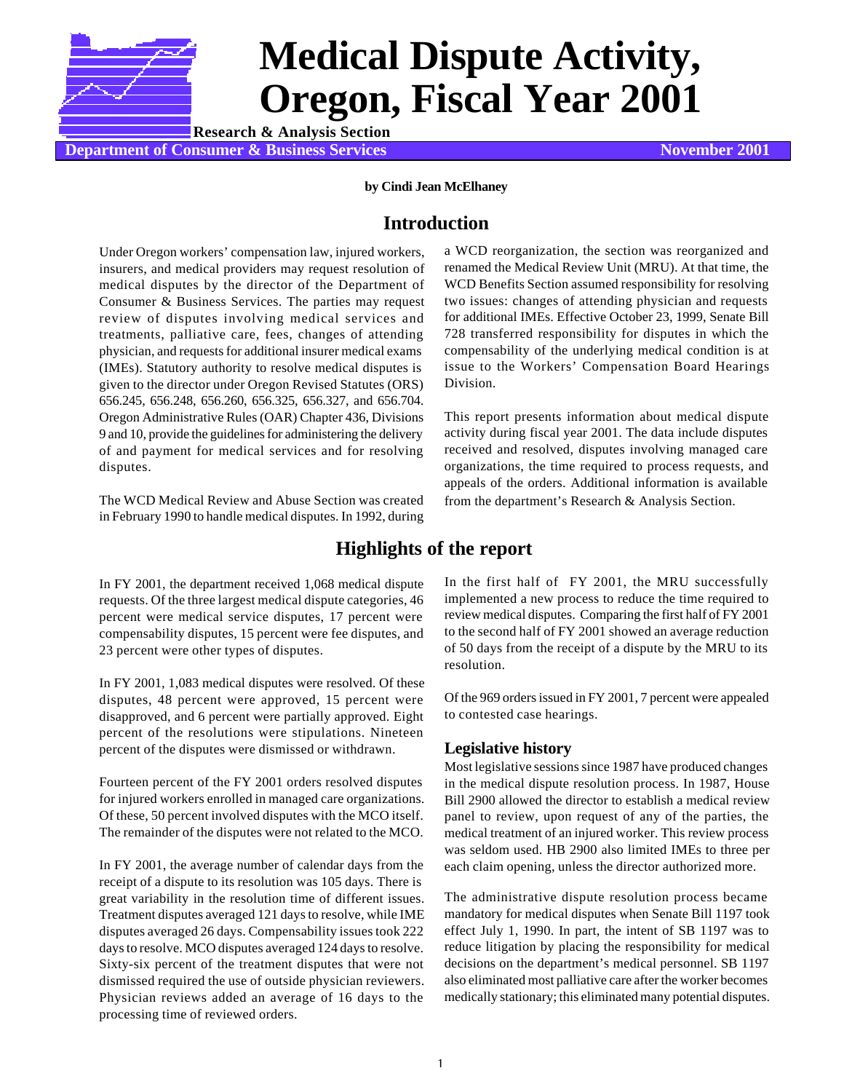

# **Medical Dispute Activity, Oregon, Fiscal Year 2001**

**Department of Consumer & Business Services November 2001 Research & Analysis Section**

## **by Cindi Jean McElhaney**

## **Introduction**

Under Oregon workers' compensation law, injured workers, insurers, and medical providers may request resolution of medical disputes by the director of the Department of Consumer & Business Services. The parties may request review of disputes involving medical services and treatments, palliative care, fees, changes of attending physician, and requests for additional insurer medical exams (IMEs). Statutory authority to resolve medical disputes is given to the director under Oregon Revised Statutes (ORS) 656.245, 656.248, 656.260, 656.325, 656.327, and 656.704. Oregon Administrative Rules (OAR) Chapter 436, Divisions 9 and 10, provide the guidelines for administering the delivery of and payment for medical services and for resolving disputes.

The WCD Medical Review and Abuse Section was created in February 1990 to handle medical disputes. In 1992, during a WCD reorganization, the section was reorganized and renamed the Medical Review Unit (MRU). At that time, the WCD Benefits Section assumed responsibility for resolving two issues: changes of attending physician and requests for additional IMEs. Effective October 23, 1999, Senate Bill 728 transferred responsibility for disputes in which the compensability of the underlying medical condition is at issue to the Workers' Compensation Board Hearings Division.

This report presents information about medical dispute activity during fiscal year 2001. The data include disputes received and resolved, disputes involving managed care organizations, the time required to process requests, and appeals of the orders. Additional information is available from the department's Research & Analysis Section.

# **Highlights of the report**

In FY 2001, the department received 1,068 medical dispute requests. Of the three largest medical dispute categories, 46 percent were medical service disputes, 17 percent were compensability disputes, 15 percent were fee disputes, and 23 percent were other types of disputes.

In FY 2001, 1,083 medical disputes were resolved. Of these disputes, 48 percent were approved, 15 percent were disapproved, and 6 percent were partially approved. Eight percent of the resolutions were stipulations. Nineteen percent of the disputes were dismissed or withdrawn.

Fourteen percent of the FY 2001 orders resolved disputes for injured workers enrolled in managed care organizations. Of these, 50 percent involved disputes with the MCO itself. The remainder of the disputes were not related to the MCO.

In FY 2001, the average number of calendar days from the receipt of a dispute to its resolution was 105 days. There is great variability in the resolution time of different issues. Treatment disputes averaged 121 days to resolve, while IME disputes averaged 26 days. Compensability issues took 222 days to resolve. MCO disputes averaged 124 days to resolve. Sixty-six percent of the treatment disputes that were not dismissed required the use of outside physician reviewers. Physician reviews added an average of 16 days to the processing time of reviewed orders.

In the first half of FY 2001, the MRU successfully implemented a new process to reduce the time required to review medical disputes. Comparing the first half of FY 2001 to the second half of FY 2001 showed an average reduction of 50 days from the receipt of a dispute by the MRU to its resolution.

Of the 969 orders issued in FY 2001, 7 percent were appealed to contested case hearings.

## **Legislative history**

Most legislative sessions since 1987 have produced changes in the medical dispute resolution process. In 1987, House Bill 2900 allowed the director to establish a medical review panel to review, upon request of any of the parties, the medical treatment of an injured worker. This review process was seldom used. HB 2900 also limited IMEs to three per each claim opening, unless the director authorized more.

The administrative dispute resolution process became mandatory for medical disputes when Senate Bill 1197 took effect July 1, 1990. In part, the intent of SB 1197 was to reduce litigation by placing the responsibility for medical decisions on the department's medical personnel. SB 1197 also eliminated most palliative care after the worker becomes medically stationary; this eliminated many potential disputes.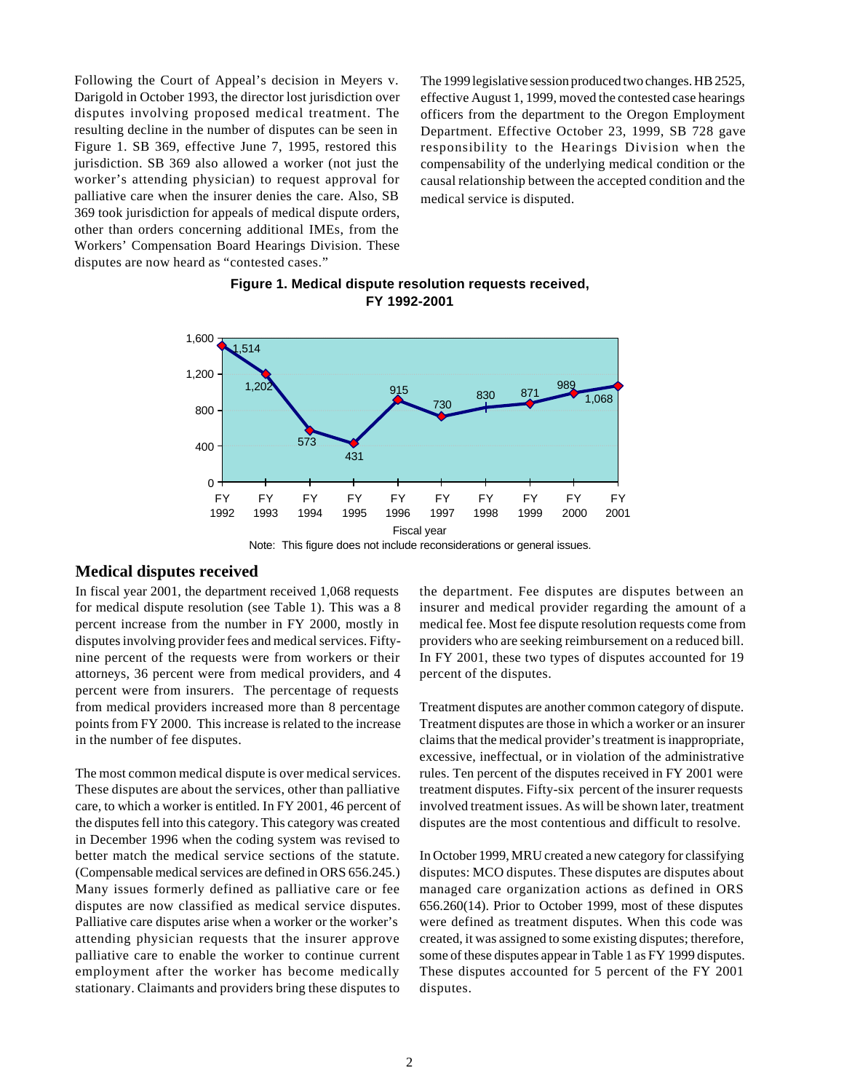Following the Court of Appeal's decision in Meyers v. Darigold in October 1993, the director lost jurisdiction over disputes involving proposed medical treatment. The resulting decline in the number of disputes can be seen in Figure 1. SB 369, effective June 7, 1995, restored this jurisdiction. SB 369 also allowed a worker (not just the worker's attending physician) to request approval for palliative care when the insurer denies the care. Also, SB 369 took jurisdiction for appeals of medical dispute orders, other than orders concerning additional IMEs, from the Workers' Compensation Board Hearings Division. These disputes are now heard as "contested cases."

The 1999 legislative session produced two changes. HB 2525, effective August 1, 1999, moved the contested case hearings officers from the department to the Oregon Employment Department. Effective October 23, 1999, SB 728 gave responsibility to the Hearings Division when the compensability of the underlying medical condition or the causal relationship between the accepted condition and the medical service is disputed.

## **Figure 1. Medical dispute resolution requests received, FY 1992-2001**



Note: This figure does not include reconsiderations or general issues.

## **Medical disputes received**

In fiscal year 2001, the department received 1,068 requests for medical dispute resolution (see Table 1). This was a 8 percent increase from the number in FY 2000, mostly in disputes involving provider fees and medical services. Fiftynine percent of the requests were from workers or their attorneys, 36 percent were from medical providers, and 4 percent were from insurers. The percentage of requests from medical providers increased more than 8 percentage points from FY 2000. This increase is related to the increase in the number of fee disputes.

The most common medical dispute is over medical services. These disputes are about the services, other than palliative care, to which a worker is entitled. In FY 2001, 46 percent of the disputes fell into this category. This category was created in December 1996 when the coding system was revised to better match the medical service sections of the statute. (Compensable medical services are defined in ORS 656.245.) Many issues formerly defined as palliative care or fee disputes are now classified as medical service disputes. Palliative care disputes arise when a worker or the worker's attending physician requests that the insurer approve palliative care to enable the worker to continue current employment after the worker has become medically stationary. Claimants and providers bring these disputes to the department. Fee disputes are disputes between an insurer and medical provider regarding the amount of a medical fee. Most fee dispute resolution requests come from providers who are seeking reimbursement on a reduced bill. In FY 2001, these two types of disputes accounted for 19 percent of the disputes.

Treatment disputes are another common category of dispute. Treatment disputes are those in which a worker or an insurer claims that the medical provider's treatment is inappropriate, excessive, ineffectual, or in violation of the administrative rules. Ten percent of the disputes received in FY 2001 were treatment disputes. Fifty-six percent of the insurer requests involved treatment issues. As will be shown later, treatment disputes are the most contentious and difficult to resolve.

In October 1999, MRU created a new category for classifying disputes: MCO disputes. These disputes are disputes about managed care organization actions as defined in ORS 656.260(14). Prior to October 1999, most of these disputes were defined as treatment disputes. When this code was created, it was assigned to some existing disputes; therefore, some of these disputes appear in Table 1 as FY 1999 disputes. These disputes accounted for 5 percent of the FY 2001 disputes.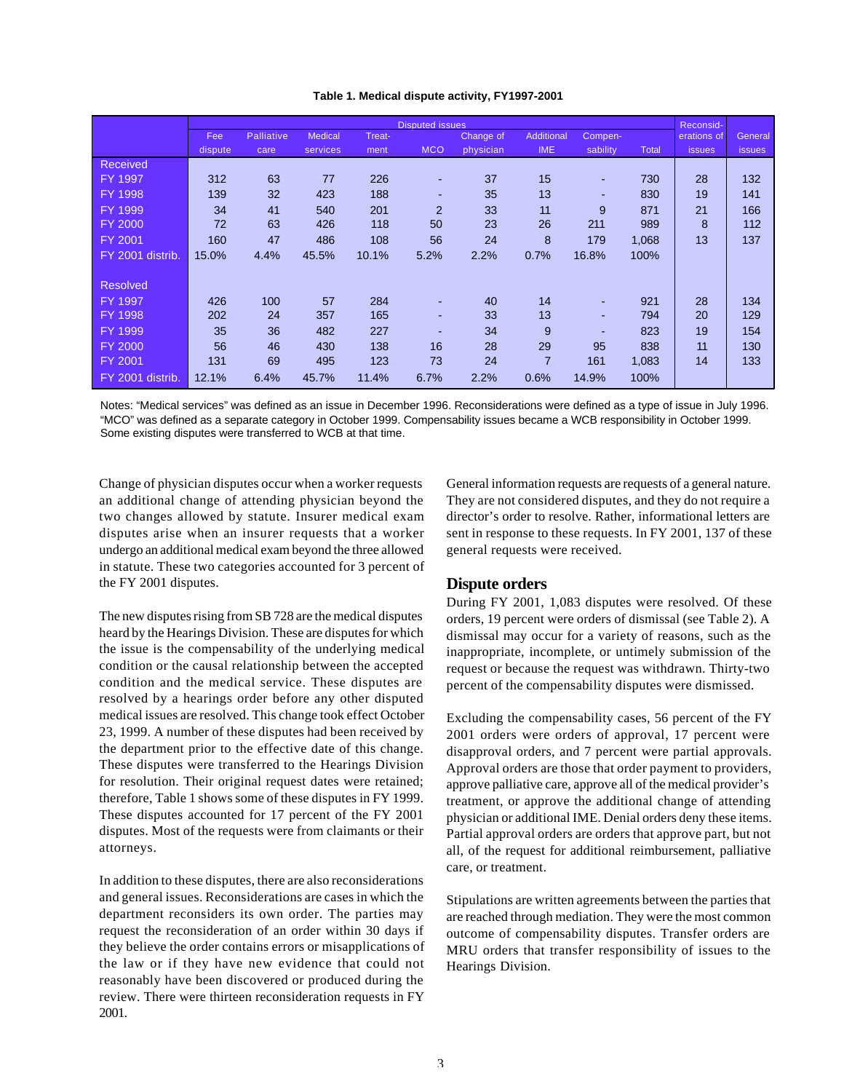|  |  |  |  | Table 1. Medical dispute activity, FY1997-2001 |
|--|--|--|--|------------------------------------------------|
|--|--|--|--|------------------------------------------------|

|                  | <b>Disputed issues</b> |                   |                |        |                |           |                |          | Reconsid- |               |               |
|------------------|------------------------|-------------------|----------------|--------|----------------|-----------|----------------|----------|-----------|---------------|---------------|
|                  | Fee                    | <b>Palliative</b> | <b>Medical</b> | Treat- |                | Change of | Additional     | Compen-  |           | erations of   | General       |
|                  | dispute                | care              | services       | ment   | <b>MCO</b>     | physician | <b>IME</b>     | sability | Total     | <b>issues</b> | <b>issues</b> |
| <b>Received</b>  |                        |                   |                |        |                |           |                |          |           |               |               |
| FY 1997          | 312                    | 63                | 77             | 226    | ٠              | 37        | 15             | ٠        | 730       | 28            | 132           |
| FY 1998          | 139                    | 32                | 423            | 188    | ٠              | 35        | 13             | ٠        | 830       | 19            | 141           |
| FY 1999          | 34                     | 41                | 540            | 201    | $\overline{2}$ | 33        | 11             | 9        | 871       | 21            | 166           |
| <b>FY 2000</b>   | 72                     | 63                | 426            | 118    | 50             | 23        | 26             | 211      | 989       | 8             | 112           |
| FY 2001          | 160                    | 47                | 486            | 108    | 56             | 24        | 8              | 179      | 1,068     | 13            | 137           |
| FY 2001 distrib. | 15.0%                  | 4.4%              | 45.5%          | 10.1%  | 5.2%           | 2.2%      | 0.7%           | 16.8%    | 100%      |               |               |
|                  |                        |                   |                |        |                |           |                |          |           |               |               |
| <b>Resolved</b>  |                        |                   |                |        |                |           |                |          |           |               |               |
| FY 1997          | 426                    | 100               | 57             | 284    |                | 40        | 14             |          | 921       | 28            | 134           |
| FY 1998          | 202                    | 24                | 357            | 165    |                | 33        | 13             |          | 794       | 20            | 129           |
| FY 1999          | 35                     | 36                | 482            | 227    |                | 34        | 9              | -        | 823       | 19            | 154           |
| <b>FY 2000</b>   | 56                     | 46                | 430            | 138    | 16             | 28        | 29             | 95       | 838       | 11            | 130           |
| FY 2001          | 131                    | 69                | 495            | 123    | 73             | 24        | $\overline{7}$ | 161      | 1,083     | 14            | 133           |
| FY 2001 distrib. | 12.1%                  | 6.4%              | 45.7%          | 11.4%  | 6.7%           | 2.2%      | 0.6%           | 14.9%    | 100%      |               |               |

Notes: "Medical services" was defined as an issue in December 1996. Reconsiderations were defined as a type of issue in July 1996. "MCO" was defined as a separate category in October 1999. Compensability issues became a WCB responsibility in October 1999. Some existing disputes were transferred to WCB at that time.

Change of physician disputes occur when a worker requests an additional change of attending physician beyond the two changes allowed by statute. Insurer medical exam disputes arise when an insurer requests that a worker undergo an additional medical exam beyond the three allowed in statute. These two categories accounted for 3 percent of the FY 2001 disputes.

The new disputes rising from SB 728 are the medical disputes heard by the Hearings Division. These are disputes for which the issue is the compensability of the underlying medical condition or the causal relationship between the accepted condition and the medical service. These disputes are resolved by a hearings order before any other disputed medical issues are resolved. This change took effect October 23, 1999. A number of these disputes had been received by the department prior to the effective date of this change. These disputes were transferred to the Hearings Division for resolution. Their original request dates were retained; therefore, Table 1 shows some of these disputes in FY 1999. These disputes accounted for 17 percent of the FY 2001 disputes. Most of the requests were from claimants or their attorneys.

In addition to these disputes, there are also reconsiderations and general issues. Reconsiderations are cases in which the department reconsiders its own order. The parties may request the reconsideration of an order within 30 days if they believe the order contains errors or misapplications of the law or if they have new evidence that could not reasonably have been discovered or produced during the review. There were thirteen reconsideration requests in FY 2001.

General information requests are requests of a general nature. They are not considered disputes, and they do not require a director's order to resolve. Rather, informational letters are sent in response to these requests. In FY 2001, 137 of these general requests were received.

## **Dispute orders**

During FY 2001, 1,083 disputes were resolved. Of these orders, 19 percent were orders of dismissal (see Table 2). A dismissal may occur for a variety of reasons, such as the inappropriate, incomplete, or untimely submission of the request or because the request was withdrawn. Thirty-two percent of the compensability disputes were dismissed.

Excluding the compensability cases, 56 percent of the FY 2001 orders were orders of approval, 17 percent were disapproval orders, and 7 percent were partial approvals. Approval orders are those that order payment to providers, approve palliative care, approve all of the medical provider's treatment, or approve the additional change of attending physician or additional IME. Denial orders deny these items. Partial approval orders are orders that approve part, but not all, of the request for additional reimbursement, palliative care, or treatment.

Stipulations are written agreements between the parties that are reached through mediation. They were the most common outcome of compensability disputes. Transfer orders are MRU orders that transfer responsibility of issues to the Hearings Division.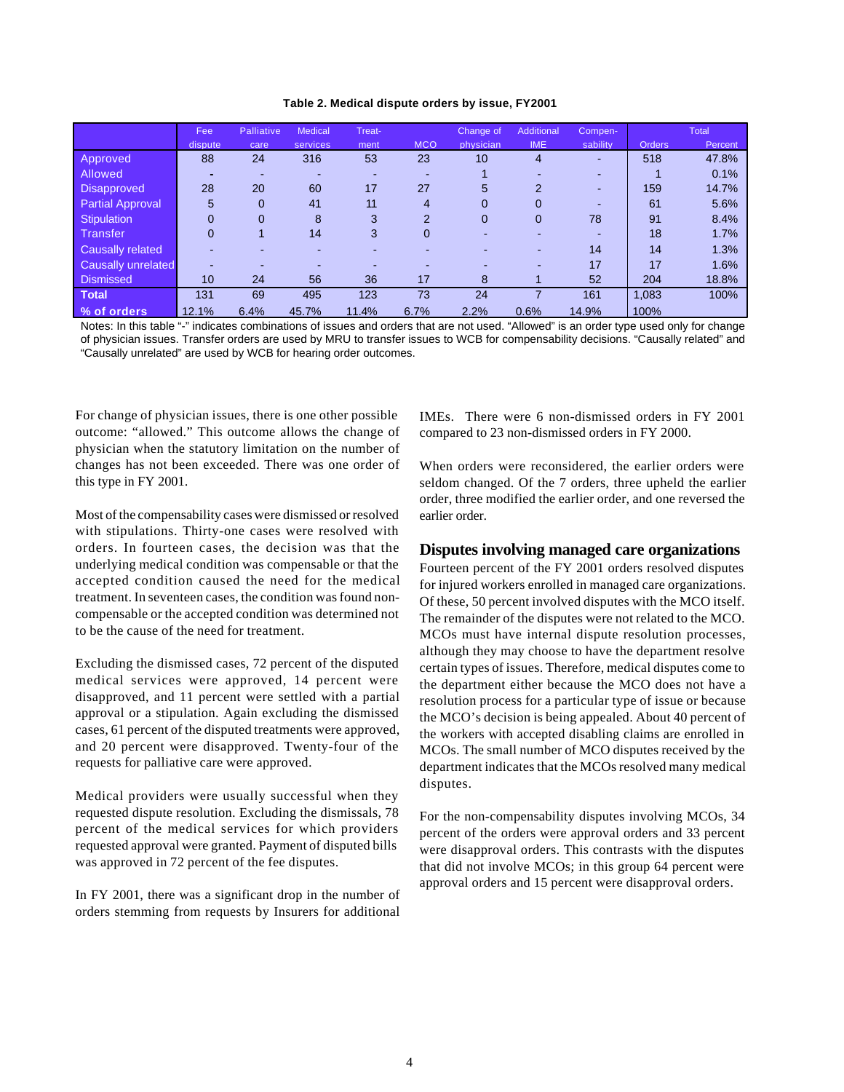#### **Table 2. Medical dispute orders by issue, FY2001**

|                         | Fee      | Palliative   | <b>Medical</b>           | Treat- |                          | Change of | Additional     | Compen-  |               | <b>Total</b> |
|-------------------------|----------|--------------|--------------------------|--------|--------------------------|-----------|----------------|----------|---------------|--------------|
|                         | dispute  | care         | services                 | ment   | <b>MCO</b>               | physician | <b>IME</b>     | sability | <b>Orders</b> | Percent      |
| Approved                | 88       | 24           | 316                      | 53     | 23                       | 10        | 4              | $\sim$   | 518           | 47.8%        |
| <b>Allowed</b>          |          | -            | $\overline{\phantom{0}}$ | -      | $\overline{\phantom{0}}$ |           |                | $\sim$   |               | 0.1%         |
| Disapproved             | 28       | 20           | 60                       | 17     | 27                       | 5         | $\overline{2}$ | $\sim$   | 159           | 14.7%        |
| <b>Partial Approval</b> | 5        | $\mathbf{0}$ | 41                       | 11     | $\overline{4}$           | 0         | 0              | ٠        | 61            | 5.6%         |
| <b>Stipulation</b>      | $\Omega$ | $\Omega$     | 8                        | 3      | $\overline{2}$           | 0         | $\mathbf{0}$   | 78       | 91            | 8.4%         |
| <b>Transfer</b>         | $\Omega$ |              | 14                       | 3      | 0                        |           |                | $\sim$   | 18            | 1.7%         |
| Causally related        |          |              |                          |        |                          |           |                | 14       | 14            | 1.3%         |
| Causally unrelated      |          |              |                          |        |                          |           |                | 17       | 17            | 1.6%         |
| <b>Dismissed</b>        | 10       | 24           | 56                       | 36     | 17                       | 8         |                | 52       | 204           | 18.8%        |
| <b>Total</b>            | 131      | 69           | 495                      | 123    | 73                       | 24        |                | 161      | 1.083         | 100%         |
| % of orders             | 12.1%    | 6.4%         | 45.7%                    | 11.4%  | 6.7%                     | 2.2%      | 0.6%           | 14.9%    | 100%          |              |

Notes: In this table "-" indicates combinations of issues and orders that are not used. "Allowed" is an order type used only for change of physician issues. Transfer orders are used by MRU to transfer issues to WCB for compensability decisions. "Causally related" and "Causally unrelated" are used by WCB for hearing order outcomes.

For change of physician issues, there is one other possible outcome: "allowed." This outcome allows the change of physician when the statutory limitation on the number of changes has not been exceeded. There was one order of this type in FY 2001.

Most of the compensability cases were dismissed or resolved with stipulations. Thirty-one cases were resolved with orders. In fourteen cases, the decision was that the underlying medical condition was compensable or that the accepted condition caused the need for the medical treatment. In seventeen cases, the condition was found noncompensable or the accepted condition was determined not to be the cause of the need for treatment.

Excluding the dismissed cases, 72 percent of the disputed medical services were approved, 14 percent were disapproved, and 11 percent were settled with a partial approval or a stipulation. Again excluding the dismissed cases, 61 percent of the disputed treatments were approved, and 20 percent were disapproved. Twenty-four of the requests for palliative care were approved.

Medical providers were usually successful when they requested dispute resolution. Excluding the dismissals, 78 percent of the medical services for which providers requested approval were granted. Payment of disputed bills was approved in 72 percent of the fee disputes.

In FY 2001, there was a significant drop in the number of orders stemming from requests by Insurers for additional IMEs. There were 6 non-dismissed orders in FY 2001 compared to 23 non-dismissed orders in FY 2000.

When orders were reconsidered, the earlier orders were seldom changed. Of the 7 orders, three upheld the earlier order, three modified the earlier order, and one reversed the earlier order.

## **Disputes involving managed care organizations**

Fourteen percent of the FY 2001 orders resolved disputes for injured workers enrolled in managed care organizations. Of these, 50 percent involved disputes with the MCO itself. The remainder of the disputes were not related to the MCO. MCOs must have internal dispute resolution processes, although they may choose to have the department resolve certain types of issues. Therefore, medical disputes come to the department either because the MCO does not have a resolution process for a particular type of issue or because the MCO's decision is being appealed. About 40 percent of the workers with accepted disabling claims are enrolled in MCOs. The small number of MCO disputes received by the department indicates that the MCOs resolved many medical disputes.

For the non-compensability disputes involving MCOs, 34 percent of the orders were approval orders and 33 percent were disapproval orders. This contrasts with the disputes that did not involve MCOs; in this group 64 percent were approval orders and 15 percent were disapproval orders.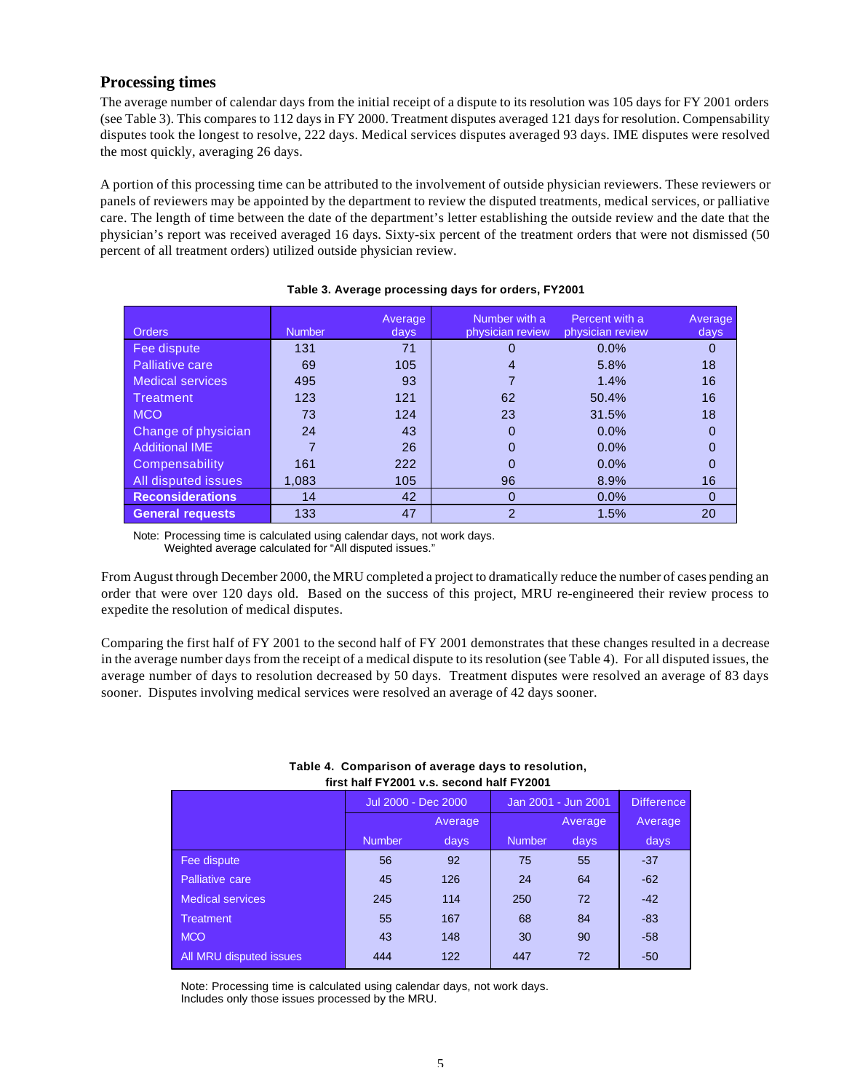## **Processing times**

The average number of calendar days from the initial receipt of a dispute to its resolution was 105 days for FY 2001 orders (see Table 3). This compares to 112 days in FY 2000. Treatment disputes averaged 121 days for resolution. Compensability disputes took the longest to resolve, 222 days. Medical services disputes averaged 93 days. IME disputes were resolved the most quickly, averaging 26 days.

A portion of this processing time can be attributed to the involvement of outside physician reviewers. These reviewers or panels of reviewers may be appointed by the department to review the disputed treatments, medical services, or palliative care. The length of time between the date of the department's letter establishing the outside review and the date that the physician's report was received averaged 16 days. Sixty-six percent of the treatment orders that were not dismissed (50 percent of all treatment orders) utilized outside physician review.

| <b>Orders</b>           | <b>Number</b> | Average<br>days | Number with a<br>physician review | Percent with a<br>physician review | Average<br>days |
|-------------------------|---------------|-----------------|-----------------------------------|------------------------------------|-----------------|
|                         |               |                 |                                   |                                    |                 |
| Fee dispute             | 131           | 71              |                                   | $0.0\%$                            |                 |
| <b>Palliative care</b>  | 69            | 105             |                                   | 5.8%                               | 18              |
| Medical services        | 495           | 93              |                                   | 1.4%                               | 16              |
| Treatment               | 123           | 121             | 62                                | 50.4%                              | 16              |
| <b>MCO</b>              | 73            | 124             | 23                                | 31.5%                              | 18              |
| Change of physician     | 24            | 43              | 0                                 | $0.0\%$                            |                 |
| <b>Additional IME</b>   |               | 26              |                                   | $0.0\%$                            |                 |
| Compensability          | 161           | 222             |                                   | $0.0\%$                            |                 |
| All disputed issues     | 1.083         | 105             | 96                                | 8.9%                               | 16              |
| <b>Reconsiderations</b> | 14            | 42              | 0                                 | 0.0%                               | 0               |
| <b>General requests</b> | 133           | 47              | $\mathcal{P}$                     | 1.5%                               | 20              |

## **Table 3. Average processing days for orders, FY2001**

Note: Processing time is calculated using calendar days, not work days. Weighted average calculated for "All disputed issues."

From August through December 2000, the MRU completed a project to dramatically reduce the number of cases pending an order that were over 120 days old. Based on the success of this project, MRU re-engineered their review process to expedite the resolution of medical disputes.

Comparing the first half of FY 2001 to the second half of FY 2001 demonstrates that these changes resulted in a decrease in the average number days from the receipt of a medical dispute to its resolution (see Table 4). For all disputed issues, the average number of days to resolution decreased by 50 days. Treatment disputes were resolved an average of 83 days sooner. Disputes involving medical services were resolved an average of 42 days sooner.

## **Table 4. Comparison of average days to resolution, first half FY2001 v.s. second half FY2001**

|                         |               | Jul 2000 - Dec 2000 | Jan 2001 - Jun 2001 | <b>Difference</b> |         |  |  |  |  |
|-------------------------|---------------|---------------------|---------------------|-------------------|---------|--|--|--|--|
|                         | Average       |                     |                     | Average           | Average |  |  |  |  |
|                         | <b>Number</b> | days                | <b>Number</b>       | days              | days    |  |  |  |  |
| Fee dispute             | 56            | 92                  | 75                  | 55                | $-37$   |  |  |  |  |
| Palliative care         | 45            | 126                 | 24                  | 64                | $-62$   |  |  |  |  |
| <b>Medical services</b> | 245           | 114                 | 250                 | 72                | $-42$   |  |  |  |  |
| <b>Treatment</b>        | 55            | 167                 | 68                  | 84                | $-83$   |  |  |  |  |
| <b>MCO</b>              | 43            | 148                 | 30                  | 90                | $-58$   |  |  |  |  |
| All MRU disputed issues | 444           | 122                 | 447                 | 72                | $-50$   |  |  |  |  |
|                         |               |                     |                     |                   |         |  |  |  |  |

Note: Processing time is calculated using calendar days, not work days. Includes only those issues processed by the MRU.